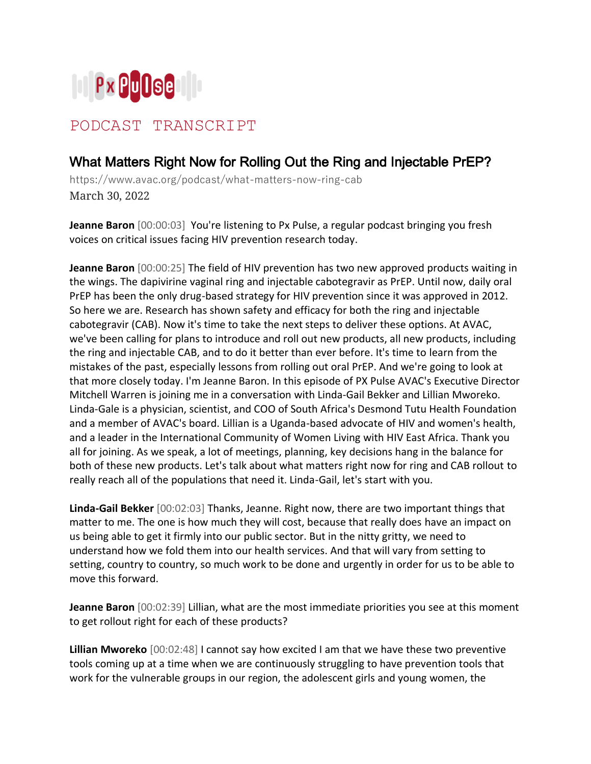

## PODCAST TRANSCRIPT

## What Matters Right Now for Rolling Out the Ring and Injectable PrEP?

https://www.avac.org/podcast/what-matters-now-ring-cab March 30, 2022

**Jeanne Baron** [00:00:03] You're listening to Px Pulse, a regular podcast bringing you fresh voices on critical issues facing HIV prevention research today.

**Jeanne Baron** [00:00:25] The field of HIV prevention has two new approved products waiting in the wings. The dapivirine vaginal ring and injectable cabotegravir as PrEP. Until now, daily oral PrEP has been the only drug-based strategy for HIV prevention since it was approved in 2012. So here we are. Research has shown safety and efficacy for both the ring and injectable cabotegravir (CAB). Now it's time to take the next steps to deliver these options. At AVAC, we've been calling for plans to introduce and roll out new products, all new products, including the ring and injectable CAB, and to do it better than ever before. It's time to learn from the mistakes of the past, especially lessons from rolling out oral PrEP. And we're going to look at that more closely today. I'm Jeanne Baron. In this episode of PX Pulse AVAC's Executive Director Mitchell Warren is joining me in a conversation with Linda-Gail Bekker and Lillian Mworeko. Linda-Gale is a physician, scientist, and COO of South Africa's Desmond Tutu Health Foundation and a member of AVAC's board. Lillian is a Uganda-based advocate of HIV and women's health, and a leader in the International Community of Women Living with HIV East Africa. Thank you all for joining. As we speak, a lot of meetings, planning, key decisions hang in the balance for both of these new products. Let's talk about what matters right now for ring and CAB rollout to really reach all of the populations that need it. Linda-Gail, let's start with you.

**Linda-Gail Bekker** [00:02:03] Thanks, Jeanne. Right now, there are two important things that matter to me. The one is how much they will cost, because that really does have an impact on us being able to get it firmly into our public sector. But in the nitty gritty, we need to understand how we fold them into our health services. And that will vary from setting to setting, country to country, so much work to be done and urgently in order for us to be able to move this forward.

**Jeanne Baron** [00:02:39] Lillian, what are the most immediate priorities you see at this moment to get rollout right for each of these products?

**Lillian Mworeko** [00:02:48] I cannot say how excited I am that we have these two preventive tools coming up at a time when we are continuously struggling to have prevention tools that work for the vulnerable groups in our region, the adolescent girls and young women, the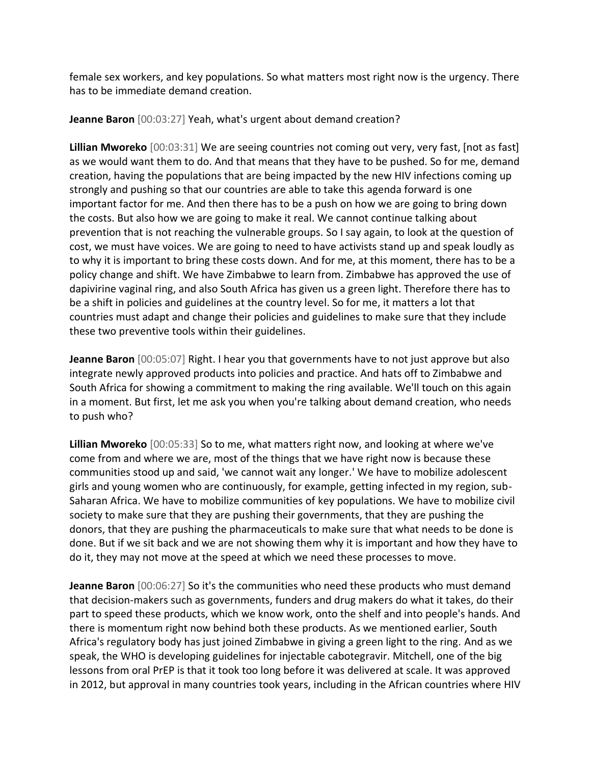female sex workers, and key populations. So what matters most right now is the urgency. There has to be immediate demand creation.

**Jeanne Baron** [00:03:27] Yeah, what's urgent about demand creation?

**Lillian Mworeko** [00:03:31] We are seeing countries not coming out very, very fast, [not as fast] as we would want them to do. And that means that they have to be pushed. So for me, demand creation, having the populations that are being impacted by the new HIV infections coming up strongly and pushing so that our countries are able to take this agenda forward is one important factor for me. And then there has to be a push on how we are going to bring down the costs. But also how we are going to make it real. We cannot continue talking about prevention that is not reaching the vulnerable groups. So I say again, to look at the question of cost, we must have voices. We are going to need to have activists stand up and speak loudly as to why it is important to bring these costs down. And for me, at this moment, there has to be a policy change and shift. We have Zimbabwe to learn from. Zimbabwe has approved the use of dapivirine vaginal ring, and also South Africa has given us a green light. Therefore there has to be a shift in policies and guidelines at the country level. So for me, it matters a lot that countries must adapt and change their policies and guidelines to make sure that they include these two preventive tools within their guidelines.

**Jeanne Baron** [00:05:07] Right. I hear you that governments have to not just approve but also integrate newly approved products into policies and practice. And hats off to Zimbabwe and South Africa for showing a commitment to making the ring available. We'll touch on this again in a moment. But first, let me ask you when you're talking about demand creation, who needs to push who?

**Lillian Mworeko** [00:05:33] So to me, what matters right now, and looking at where we've come from and where we are, most of the things that we have right now is because these communities stood up and said, 'we cannot wait any longer.' We have to mobilize adolescent girls and young women who are continuously, for example, getting infected in my region, sub-Saharan Africa. We have to mobilize communities of key populations. We have to mobilize civil society to make sure that they are pushing their governments, that they are pushing the donors, that they are pushing the pharmaceuticals to make sure that what needs to be done is done. But if we sit back and we are not showing them why it is important and how they have to do it, they may not move at the speed at which we need these processes to move.

**Jeanne Baron** [00:06:27] So it's the communities who need these products who must demand that decision-makers such as governments, funders and drug makers do what it takes, do their part to speed these products, which we know work, onto the shelf and into people's hands. And there is momentum right now behind both these products. As we mentioned earlier, South Africa's regulatory body has just joined Zimbabwe in giving a green light to the ring. And as we speak, the WHO is developing guidelines for injectable cabotegravir. Mitchell, one of the big lessons from oral PrEP is that it took too long before it was delivered at scale. It was approved in 2012, but approval in many countries took years, including in the African countries where HIV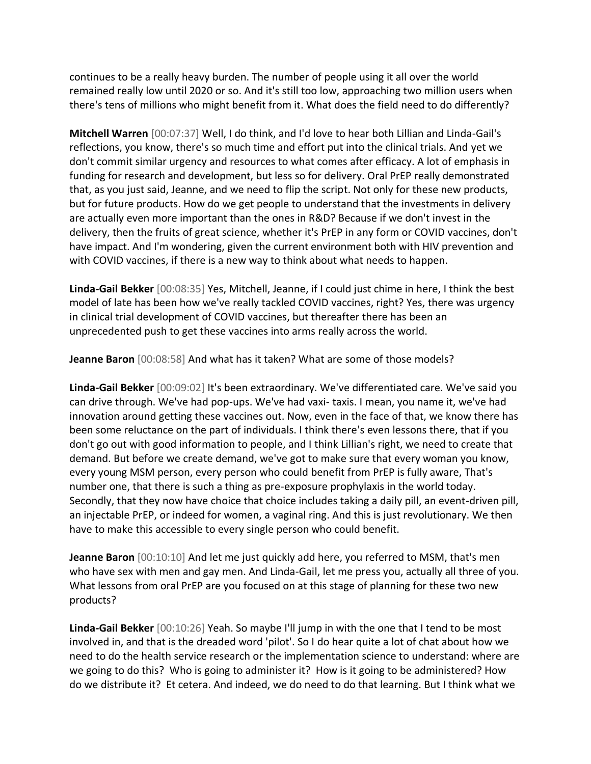continues to be a really heavy burden. The number of people using it all over the world remained really low until 2020 or so. And it's still too low, approaching two million users when there's tens of millions who might benefit from it. What does the field need to do differently?

**Mitchell Warren** [00:07:37] Well, I do think, and I'd love to hear both Lillian and Linda-Gail's reflections, you know, there's so much time and effort put into the clinical trials. And yet we don't commit similar urgency and resources to what comes after efficacy. A lot of emphasis in funding for research and development, but less so for delivery. Oral PrEP really demonstrated that, as you just said, Jeanne, and we need to flip the script. Not only for these new products, but for future products. How do we get people to understand that the investments in delivery are actually even more important than the ones in R&D? Because if we don't invest in the delivery, then the fruits of great science, whether it's PrEP in any form or COVID vaccines, don't have impact. And I'm wondering, given the current environment both with HIV prevention and with COVID vaccines, if there is a new way to think about what needs to happen.

**Linda-Gail Bekker** [00:08:35] Yes, Mitchell, Jeanne, if I could just chime in here, I think the best model of late has been how we've really tackled COVID vaccines, right? Yes, there was urgency in clinical trial development of COVID vaccines, but thereafter there has been an unprecedented push to get these vaccines into arms really across the world.

**Jeanne Baron** [00:08:58] And what has it taken? What are some of those models?

**Linda-Gail Bekker** [00:09:02] It's been extraordinary. We've differentiated care. We've said you can drive through. We've had pop-ups. We've had vaxi- taxis. I mean, you name it, we've had innovation around getting these vaccines out. Now, even in the face of that, we know there has been some reluctance on the part of individuals. I think there's even lessons there, that if you don't go out with good information to people, and I think Lillian's right, we need to create that demand. But before we create demand, we've got to make sure that every woman you know, every young MSM person, every person who could benefit from PrEP is fully aware, That's number one, that there is such a thing as pre-exposure prophylaxis in the world today. Secondly, that they now have choice that choice includes taking a daily pill, an event-driven pill, an injectable PrEP, or indeed for women, a vaginal ring. And this is just revolutionary. We then have to make this accessible to every single person who could benefit.

**Jeanne Baron** [00:10:10] And let me just quickly add here, you referred to MSM, that's men who have sex with men and gay men. And Linda-Gail, let me press you, actually all three of you. What lessons from oral PrEP are you focused on at this stage of planning for these two new products?

**Linda-Gail Bekker** [00:10:26] Yeah. So maybe I'll jump in with the one that I tend to be most involved in, and that is the dreaded word 'pilot'. So I do hear quite a lot of chat about how we need to do the health service research or the implementation science to understand: where are we going to do this? Who is going to administer it? How is it going to be administered? How do we distribute it? Et cetera. And indeed, we do need to do that learning. But I think what we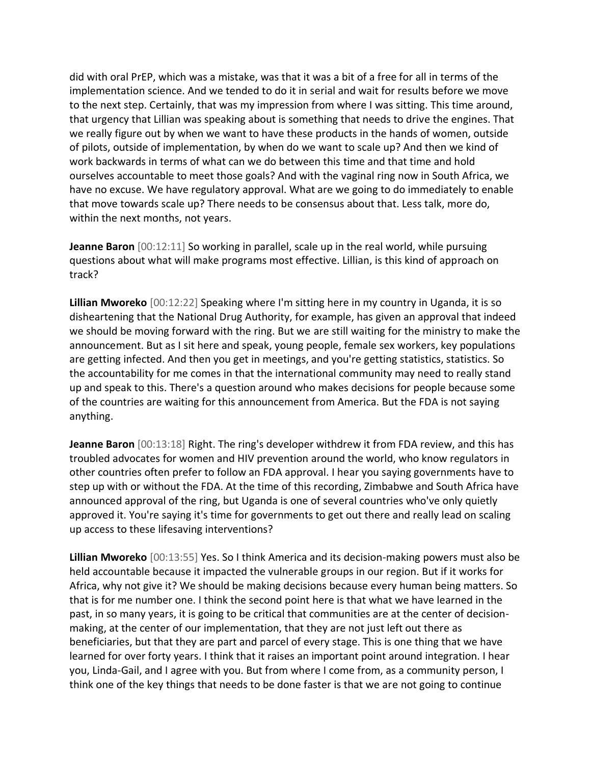did with oral PrEP, which was a mistake, was that it was a bit of a free for all in terms of the implementation science. And we tended to do it in serial and wait for results before we move to the next step. Certainly, that was my impression from where I was sitting. This time around, that urgency that Lillian was speaking about is something that needs to drive the engines. That we really figure out by when we want to have these products in the hands of women, outside of pilots, outside of implementation, by when do we want to scale up? And then we kind of work backwards in terms of what can we do between this time and that time and hold ourselves accountable to meet those goals? And with the vaginal ring now in South Africa, we have no excuse. We have regulatory approval. What are we going to do immediately to enable that move towards scale up? There needs to be consensus about that. Less talk, more do, within the next months, not years.

**Jeanne Baron** [00:12:11] So working in parallel, scale up in the real world, while pursuing questions about what will make programs most effective. Lillian, is this kind of approach on track?

**Lillian Mworeko** [00:12:22] Speaking where I'm sitting here in my country in Uganda, it is so disheartening that the National Drug Authority, for example, has given an approval that indeed we should be moving forward with the ring. But we are still waiting for the ministry to make the announcement. But as I sit here and speak, young people, female sex workers, key populations are getting infected. And then you get in meetings, and you're getting statistics, statistics. So the accountability for me comes in that the international community may need to really stand up and speak to this. There's a question around who makes decisions for people because some of the countries are waiting for this announcement from America. But the FDA is not saying anything.

**Jeanne Baron** [00:13:18] Right. The ring's developer withdrew it from FDA review, and this has troubled advocates for women and HIV prevention around the world, who know regulators in other countries often prefer to follow an FDA approval. I hear you saying governments have to step up with or without the FDA. At the time of this recording, Zimbabwe and South Africa have announced approval of the ring, but Uganda is one of several countries who've only quietly approved it. You're saying it's time for governments to get out there and really lead on scaling up access to these lifesaving interventions?

**Lillian Mworeko** [00:13:55] Yes. So I think America and its decision-making powers must also be held accountable because it impacted the vulnerable groups in our region. But if it works for Africa, why not give it? We should be making decisions because every human being matters. So that is for me number one. I think the second point here is that what we have learned in the past, in so many years, it is going to be critical that communities are at the center of decisionmaking, at the center of our implementation, that they are not just left out there as beneficiaries, but that they are part and parcel of every stage. This is one thing that we have learned for over forty years. I think that it raises an important point around integration. I hear you, Linda-Gail, and I agree with you. But from where I come from, as a community person, I think one of the key things that needs to be done faster is that we are not going to continue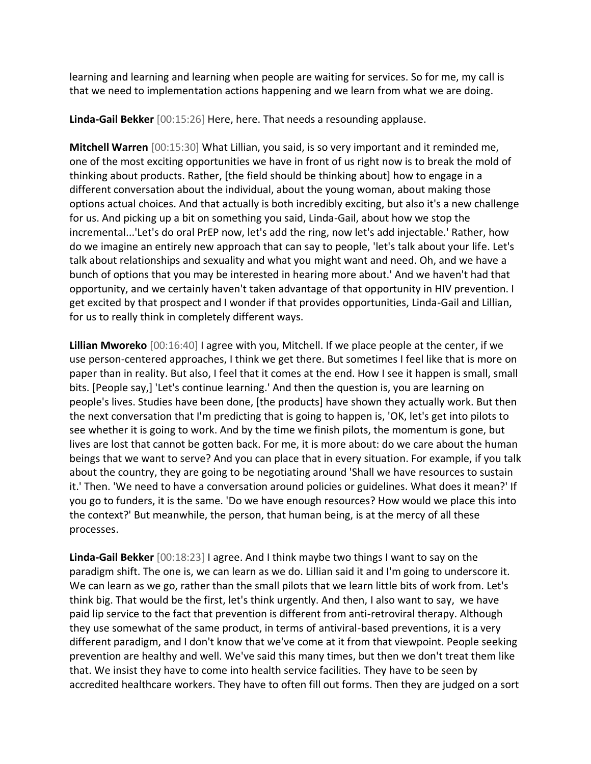learning and learning and learning when people are waiting for services. So for me, my call is that we need to implementation actions happening and we learn from what we are doing.

**Linda-Gail Bekker** [00:15:26] Here, here. That needs a resounding applause.

**Mitchell Warren** [00:15:30] What Lillian, you said, is so very important and it reminded me, one of the most exciting opportunities we have in front of us right now is to break the mold of thinking about products. Rather, [the field should be thinking about] how to engage in a different conversation about the individual, about the young woman, about making those options actual choices. And that actually is both incredibly exciting, but also it's a new challenge for us. And picking up a bit on something you said, Linda-Gail, about how we stop the incremental...'Let's do oral PrEP now, let's add the ring, now let's add injectable.' Rather, how do we imagine an entirely new approach that can say to people, 'let's talk about your life. Let's talk about relationships and sexuality and what you might want and need. Oh, and we have a bunch of options that you may be interested in hearing more about.' And we haven't had that opportunity, and we certainly haven't taken advantage of that opportunity in HIV prevention. I get excited by that prospect and I wonder if that provides opportunities, Linda-Gail and Lillian, for us to really think in completely different ways.

**Lillian Mworeko** [00:16:40] I agree with you, Mitchell. If we place people at the center, if we use person-centered approaches, I think we get there. But sometimes I feel like that is more on paper than in reality. But also, I feel that it comes at the end. How I see it happen is small, small bits. [People say,] 'Let's continue learning.' And then the question is, you are learning on people's lives. Studies have been done, [the products] have shown they actually work. But then the next conversation that I'm predicting that is going to happen is, 'OK, let's get into pilots to see whether it is going to work. And by the time we finish pilots, the momentum is gone, but lives are lost that cannot be gotten back. For me, it is more about: do we care about the human beings that we want to serve? And you can place that in every situation. For example, if you talk about the country, they are going to be negotiating around 'Shall we have resources to sustain it.' Then. 'We need to have a conversation around policies or guidelines. What does it mean?' If you go to funders, it is the same. 'Do we have enough resources? How would we place this into the context?' But meanwhile, the person, that human being, is at the mercy of all these processes.

**Linda-Gail Bekker** [00:18:23] I agree. And I think maybe two things I want to say on the paradigm shift. The one is, we can learn as we do. Lillian said it and I'm going to underscore it. We can learn as we go, rather than the small pilots that we learn little bits of work from. Let's think big. That would be the first, let's think urgently. And then, I also want to say, we have paid lip service to the fact that prevention is different from anti-retroviral therapy. Although they use somewhat of the same product, in terms of antiviral-based preventions, it is a very different paradigm, and I don't know that we've come at it from that viewpoint. People seeking prevention are healthy and well. We've said this many times, but then we don't treat them like that. We insist they have to come into health service facilities. They have to be seen by accredited healthcare workers. They have to often fill out forms. Then they are judged on a sort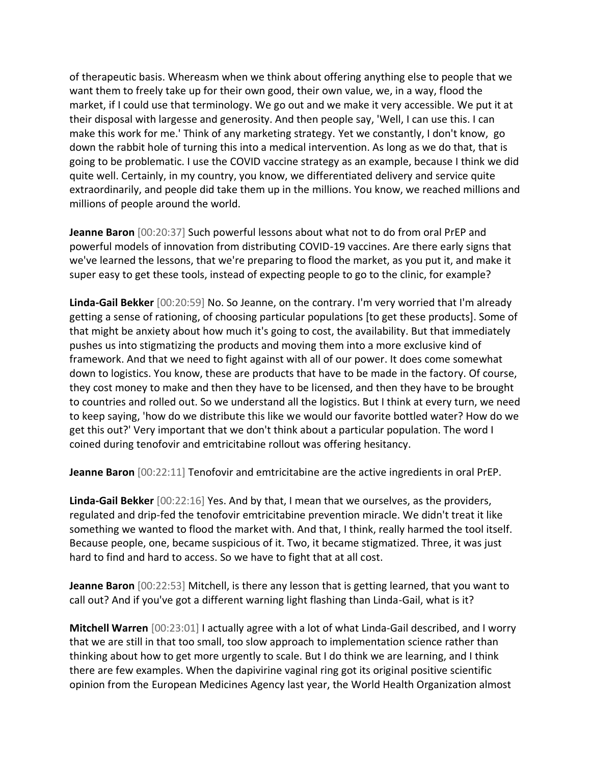of therapeutic basis. Whereasm when we think about offering anything else to people that we want them to freely take up for their own good, their own value, we, in a way, flood the market, if I could use that terminology. We go out and we make it very accessible. We put it at their disposal with largesse and generosity. And then people say, 'Well, I can use this. I can make this work for me.' Think of any marketing strategy. Yet we constantly, I don't know, go down the rabbit hole of turning this into a medical intervention. As long as we do that, that is going to be problematic. I use the COVID vaccine strategy as an example, because I think we did quite well. Certainly, in my country, you know, we differentiated delivery and service quite extraordinarily, and people did take them up in the millions. You know, we reached millions and millions of people around the world.

**Jeanne Baron** [00:20:37] Such powerful lessons about what not to do from oral PrEP and powerful models of innovation from distributing COVID-19 vaccines. Are there early signs that we've learned the lessons, that we're preparing to flood the market, as you put it, and make it super easy to get these tools, instead of expecting people to go to the clinic, for example?

**Linda-Gail Bekker** [00:20:59] No. So Jeanne, on the contrary. I'm very worried that I'm already getting a sense of rationing, of choosing particular populations [to get these products]. Some of that might be anxiety about how much it's going to cost, the availability. But that immediately pushes us into stigmatizing the products and moving them into a more exclusive kind of framework. And that we need to fight against with all of our power. It does come somewhat down to logistics. You know, these are products that have to be made in the factory. Of course, they cost money to make and then they have to be licensed, and then they have to be brought to countries and rolled out. So we understand all the logistics. But I think at every turn, we need to keep saying, 'how do we distribute this like we would our favorite bottled water? How do we get this out?' Very important that we don't think about a particular population. The word I coined during tenofovir and emtricitabine rollout was offering hesitancy.

**Jeanne Baron** [00:22:11] Tenofovir and emtricitabine are the active ingredients in oral PrEP.

**Linda-Gail Bekker** [00:22:16] Yes. And by that, I mean that we ourselves, as the providers, regulated and drip-fed the tenofovir emtricitabine prevention miracle. We didn't treat it like something we wanted to flood the market with. And that, I think, really harmed the tool itself. Because people, one, became suspicious of it. Two, it became stigmatized. Three, it was just hard to find and hard to access. So we have to fight that at all cost.

**Jeanne Baron** [00:22:53] Mitchell, is there any lesson that is getting learned, that you want to call out? And if you've got a different warning light flashing than Linda-Gail, what is it?

**Mitchell Warren** [00:23:01] I actually agree with a lot of what Linda-Gail described, and I worry that we are still in that too small, too slow approach to implementation science rather than thinking about how to get more urgently to scale. But I do think we are learning, and I think there are few examples. When the dapivirine vaginal ring got its original positive scientific opinion from the European Medicines Agency last year, the World Health Organization almost